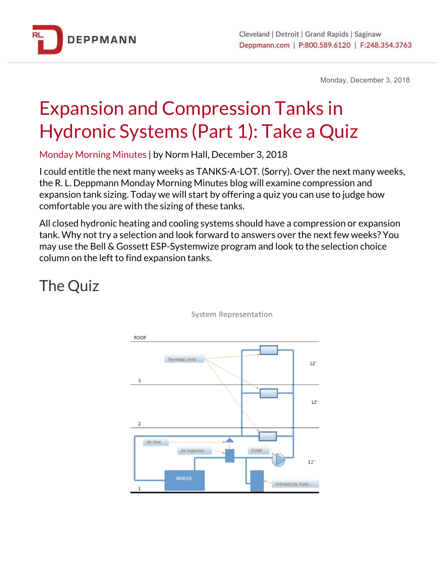

Monday, December 3, 2018

## Expansion and Compression Tanks in Hydronic Systems (Part 1): Take a Quiz

Monday Morning Minutes | by Norm Hall, December 3, 2018

I could entitle the next many weeks as TANKS-A-LOT. (Sorry). Over the next many weeks, the R. L. Deppmann Monday Morning Minutes blog will examine compression and expansion tank sizing. Today we will start by offering a quiz you can use to judge how comfortable you are with the sizing of these tanks.

All closed hydronic heating and cooling systems should have a compression or expansion tank. Why not try a selection and look forward to answers over the next few weeks? You may use the Bell & Gossett ESP-Systemwize program and look to the selection choice column on the left to find expansion tanks.

## The Quiz



**System Representation**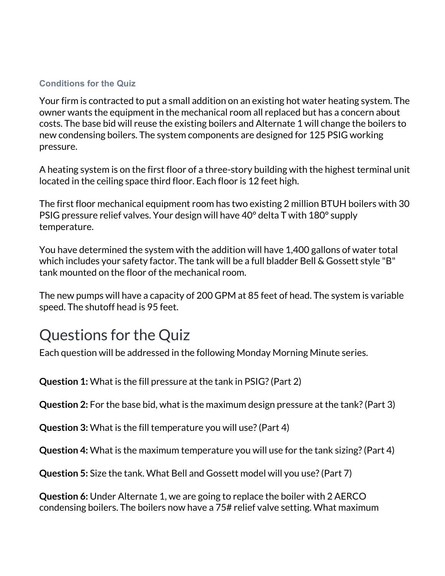## **Conditions for the Quiz**

Your firm is contracted to put a small addition on an existing hot water heating system. The owner wants the equipment in the mechanical room all replaced but has a concern about costs. The base bid will reuse the existing boilers and Alternate 1 will change the boilers to new condensing boilers. The system components are designed for 125 PSIG working pressure.

A heating system is on the first floor of a three-story building with the highest terminal unit located in the ceiling space third floor. Each floor is 12 feet high.

The first floor mechanical equipment room has two existing 2 million BTUH boilers with 30 PSIG pressure relief valves. Your design will have 40° delta T with 180° supply temperature.

You have determined the system with the addition will have 1,400 gallons of water total which includes your safety factor. The tank will be a full bladder Bell & Gossett style "B" tank mounted on the floor of the mechanical room.

The new pumps will have a capacity of 200 GPM at 85 feet of head. The system is variable speed. The shutoff head is 95 feet.

## Questions for the Quiz

Each question will be addressed in the following Monday Morning Minute series.

**Question 1:** What is the fill pressure at the tank in PSIG?(Part 2)

**Question 2:** For the base bid, what is the maximum design pressure at the tank?(Part 3)

**Question 3:** What is the fill temperature you will use?(Part 4)

**Question 4:** What is the maximum temperature you will use for the tank sizing?(Part 4)

**Question 5:** Size the tank. What Bell and Gossett model will you use?(Part 7)

**Question 6:** Under Alternate 1, we are going to replace the boiler with 2 AERCO condensing boilers. The boilers now have a 75# relief valve setting. What maximum